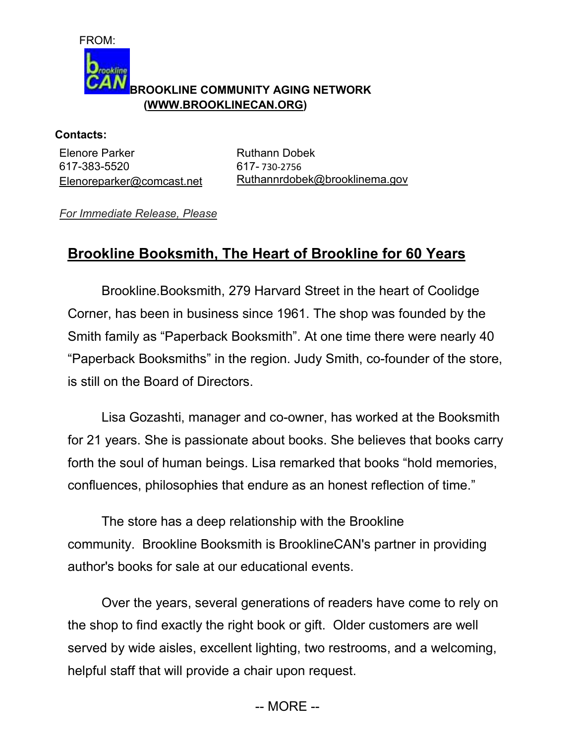

aokline

## **BROOKLINE COMMUNITY AGING NETWORK (WWW.BROOKLINECAN.ORG)**

**Contacts:**  Elenore Parker 617-383-5520 Elenoreparker@comcast.net

Ruthann Dobek 617- 730-2756 Ruthannrdobek@brooklinema.gov

*For Immediate Release, Please* 

## **Brookline Booksmith, The Heart of Brookline for 60 Years**

Brookline.Booksmith, 279 Harvard Street in the heart of Coolidge Corner, has been in business since 1961. The shop was founded by the Smith family as "Paperback Booksmith". At one time there were nearly 40 "Paperback Booksmiths" in the region. Judy Smith, co-founder of the store, is still on the Board of Directors.

 Lisa Gozashti, manager and co-owner, has worked at the Booksmith for 21 years. She is passionate about books. She believes that books carry forth the soul of human beings. Lisa remarked that books "hold memories, confluences, philosophies that endure as an honest reflection of time."

 The store has a deep relationship with the Brookline community. Brookline Booksmith is BrooklineCAN's partner in providing author's books for sale at our educational events.

 Over the years, several generations of readers have come to rely on the shop to find exactly the right book or gift. Older customers are well served by wide aisles, excellent lighting, two restrooms, and a welcoming, helpful staff that will provide a chair upon request.